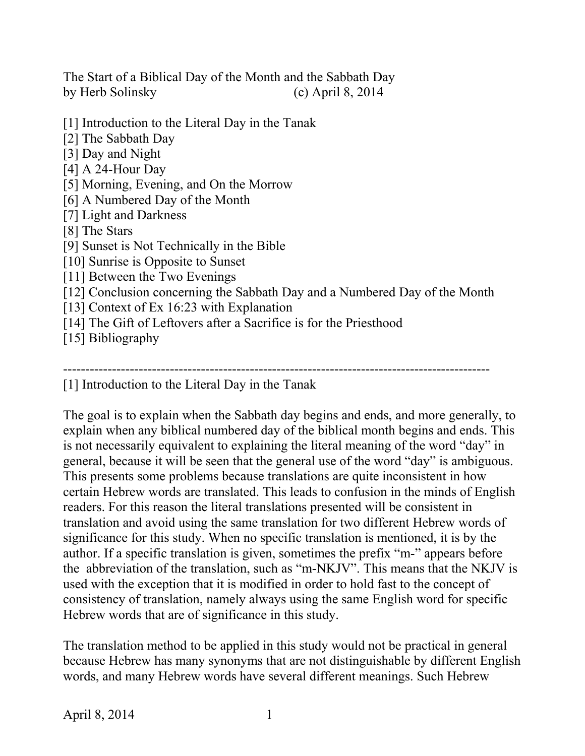The Start of a Biblical Day of the Month and the Sabbath Day by Herb Solinsky (c) April 8, 2014

- [1] Introduction to the Literal Day in the Tanak
- [2] The Sabbath Day
- [3] Day and Night
- [4] A 24-Hour Day
- [5] Morning, Evening, and On the Morrow
- [6] A Numbered Day of the Month
- [7] Light and Darkness
- [8] The Stars
- [9] Sunset is Not Technically in the Bible
- [10] Sunrise is Opposite to Sunset
- [11] Between the Two Evenings
- [12] Conclusion concerning the Sabbath Day and a Numbered Day of the Month
- [13] Context of Ex 16:23 with Explanation
- [14] The Gift of Leftovers after a Sacrifice is for the Priesthood
- [15] Bibliography

#### ------------------------------------------------------------------------------------------------

[1] Introduction to the Literal Day in the Tanak

The goal is to explain when the Sabbath day begins and ends, and more generally, to explain when any biblical numbered day of the biblical month begins and ends. This is not necessarily equivalent to explaining the literal meaning of the word "day" in general, because it will be seen that the general use of the word "day" is ambiguous. This presents some problems because translations are quite inconsistent in how certain Hebrew words are translated. This leads to confusion in the minds of English readers. For this reason the literal translations presented will be consistent in translation and avoid using the same translation for two different Hebrew words of significance for this study. When no specific translation is mentioned, it is by the author. If a specific translation is given, sometimes the prefix "m-" appears before the abbreviation of the translation, such as "m-NKJV". This means that the NKJV is used with the exception that it is modified in order to hold fast to the concept of consistency of translation, namely always using the same English word for specific Hebrew words that are of significance in this study.

The translation method to be applied in this study would not be practical in general because Hebrew has many synonyms that are not distinguishable by different English words, and many Hebrew words have several different meanings. Such Hebrew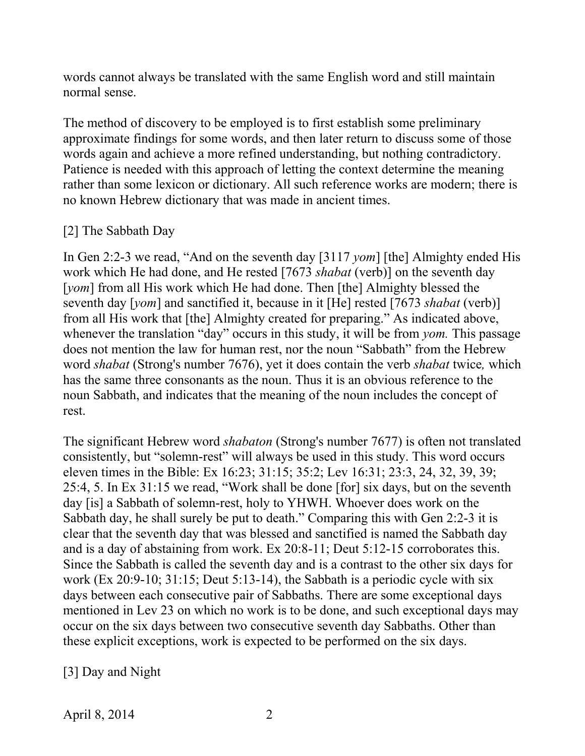words cannot always be translated with the same English word and still maintain normal sense.

The method of discovery to be employed is to first establish some preliminary approximate findings for some words, and then later return to discuss some of those words again and achieve a more refined understanding, but nothing contradictory. Patience is needed with this approach of letting the context determine the meaning rather than some lexicon or dictionary. All such reference works are modern; there is no known Hebrew dictionary that was made in ancient times.

# [2] The Sabbath Day

In Gen 2:2-3 we read, "And on the seventh day [3117 *yom*] [the] Almighty ended His work which He had done, and He rested [7673 *shabat* (verb)] on the seventh day [*yom*] from all His work which He had done. Then [the] Almighty blessed the seventh day [*yom*] and sanctified it, because in it [He] rested [7673 *shabat* (verb)] from all His work that [the] Almighty created for preparing." As indicated above, whenever the translation "day" occurs in this study, it will be from *yom*. This passage does not mention the law for human rest, nor the noun "Sabbath" from the Hebrew word *shabat* (Strong's number 7676), yet it does contain the verb *shabat* twice*,* which has the same three consonants as the noun. Thus it is an obvious reference to the noun Sabbath, and indicates that the meaning of the noun includes the concept of rest.

The significant Hebrew word *shabaton* (Strong's number 7677) is often not translated consistently, but "solemn-rest" will always be used in this study. This word occurs eleven times in the Bible: Ex 16:23; 31:15; 35:2; Lev 16:31; 23:3, 24, 32, 39, 39; 25:4, 5. In Ex 31:15 we read, "Work shall be done [for] six days, but on the seventh day [is] a Sabbath of solemn-rest, holy to YHWH. Whoever does work on the Sabbath day, he shall surely be put to death." Comparing this with Gen 2:2-3 it is clear that the seventh day that was blessed and sanctified is named the Sabbath day and is a day of abstaining from work. Ex 20:8-11; Deut 5:12-15 corroborates this. Since the Sabbath is called the seventh day and is a contrast to the other six days for work (Ex 20:9-10; 31:15; Deut 5:13-14), the Sabbath is a periodic cycle with six days between each consecutive pair of Sabbaths. There are some exceptional days mentioned in Lev 23 on which no work is to be done, and such exceptional days may occur on the six days between two consecutive seventh day Sabbaths. Other than these explicit exceptions, work is expected to be performed on the six days.

[3] Day and Night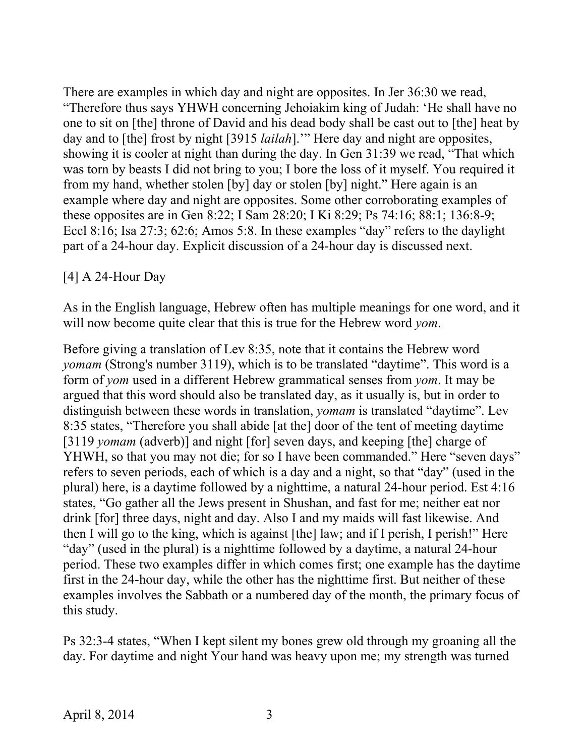There are examples in which day and night are opposites. In Jer 36:30 we read, "Therefore thus says YHWH concerning Jehoiakim king of Judah: 'He shall have no one to sit on [the] throne of David and his dead body shall be cast out to [the] heat by day and to [the] frost by night [3915 *lailah*].'" Here day and night are opposites, showing it is cooler at night than during the day. In Gen 31:39 we read, "That which was torn by beasts I did not bring to you; I bore the loss of it myself. You required it from my hand, whether stolen [by] day or stolen [by] night." Here again is an example where day and night are opposites. Some other corroborating examples of these opposites are in Gen 8:22; I Sam 28:20; I Ki 8:29; Ps 74:16; 88:1; 136:8-9; Eccl 8:16; Isa 27:3; 62:6; Amos 5:8. In these examples "day" refers to the daylight part of a 24-hour day. Explicit discussion of a 24-hour day is discussed next.

[4] A 24-Hour Day

As in the English language, Hebrew often has multiple meanings for one word, and it will now become quite clear that this is true for the Hebrew word *yom*.

Before giving a translation of Lev 8:35, note that it contains the Hebrew word *yomam* (Strong's number 3119), which is to be translated "daytime". This word is a form of *yom* used in a different Hebrew grammatical senses from *yom*. It may be argued that this word should also be translated day, as it usually is, but in order to distinguish between these words in translation, *yomam* is translated "daytime". Lev 8:35 states, "Therefore you shall abide [at the] door of the tent of meeting daytime [3119 *yomam* (adverb)] and night [for] seven days, and keeping [the] charge of YHWH, so that you may not die; for so I have been commanded." Here "seven days" refers to seven periods, each of which is a day and a night, so that "day" (used in the plural) here, is a daytime followed by a nighttime, a natural 24-hour period. Est 4:16 states, "Go gather all the Jews present in Shushan, and fast for me; neither eat nor drink [for] three days, night and day. Also I and my maids will fast likewise. And then I will go to the king, which is against [the] law; and if I perish, I perish!" Here "day" (used in the plural) is a nighttime followed by a daytime, a natural 24-hour period. These two examples differ in which comes first; one example has the daytime first in the 24-hour day, while the other has the nighttime first. But neither of these examples involves the Sabbath or a numbered day of the month, the primary focus of this study.

Ps 32:3-4 states, "When I kept silent my bones grew old through my groaning all the day. For daytime and night Your hand was heavy upon me; my strength was turned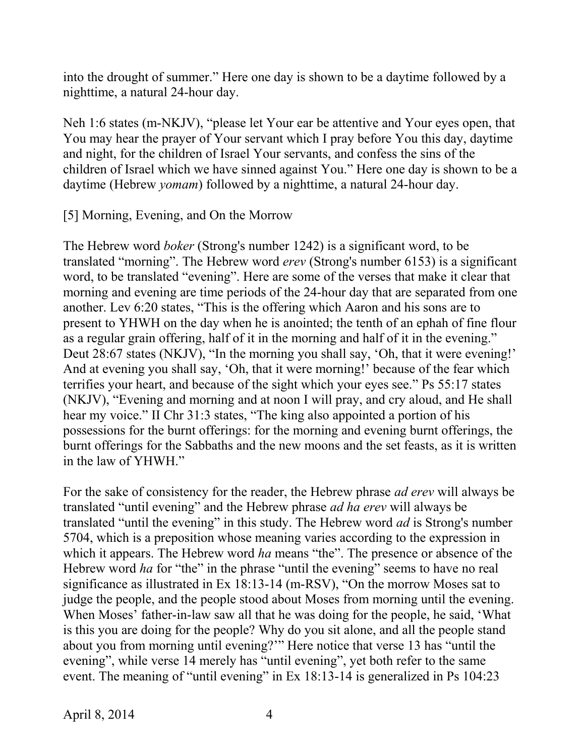into the drought of summer." Here one day is shown to be a daytime followed by a nighttime, a natural 24-hour day.

Neh 1:6 states (m-NKJV), "please let Your ear be attentive and Your eyes open, that You may hear the prayer of Your servant which I pray before You this day, daytime and night, for the children of Israel Your servants, and confess the sins of the children of Israel which we have sinned against You." Here one day is shown to be a daytime (Hebrew *yomam*) followed by a nighttime, a natural 24-hour day.

[5] Morning, Evening, and On the Morrow

The Hebrew word *boker* (Strong's number 1242) is a significant word, to be translated "morning". The Hebrew word *erev* (Strong's number 6153) is a significant word, to be translated "evening". Here are some of the verses that make it clear that morning and evening are time periods of the 24-hour day that are separated from one another. Lev 6:20 states, "This is the offering which Aaron and his sons are to present to YHWH on the day when he is anointed; the tenth of an ephah of fine flour as a regular grain offering, half of it in the morning and half of it in the evening." Deut 28:67 states (NKJV), "In the morning you shall say, 'Oh, that it were evening!' And at evening you shall say, 'Oh, that it were morning!' because of the fear which terrifies your heart, and because of the sight which your eyes see." Ps 55:17 states (NKJV), "Evening and morning and at noon I will pray, and cry aloud, and He shall hear my voice." II Chr 31:3 states, "The king also appointed a portion of his possessions for the burnt offerings: for the morning and evening burnt offerings, the burnt offerings for the Sabbaths and the new moons and the set feasts, as it is written in the law of YHWH."

For the sake of consistency for the reader, the Hebrew phrase *ad erev* will always be translated "until evening" and the Hebrew phrase *ad ha erev* will always be translated "until the evening" in this study. The Hebrew word *ad* is Strong's number 5704, which is a preposition whose meaning varies according to the expression in which it appears. The Hebrew word *ha* means "the". The presence or absence of the Hebrew word *ha* for "the" in the phrase "until the evening" seems to have no real significance as illustrated in Ex 18:13-14 (m-RSV), "On the morrow Moses sat to judge the people, and the people stood about Moses from morning until the evening. When Moses' father-in-law saw all that he was doing for the people, he said, 'What is this you are doing for the people? Why do you sit alone, and all the people stand about you from morning until evening?'" Here notice that verse 13 has "until the evening", while verse 14 merely has "until evening", yet both refer to the same event. The meaning of "until evening" in Ex 18:13-14 is generalized in Ps 104:23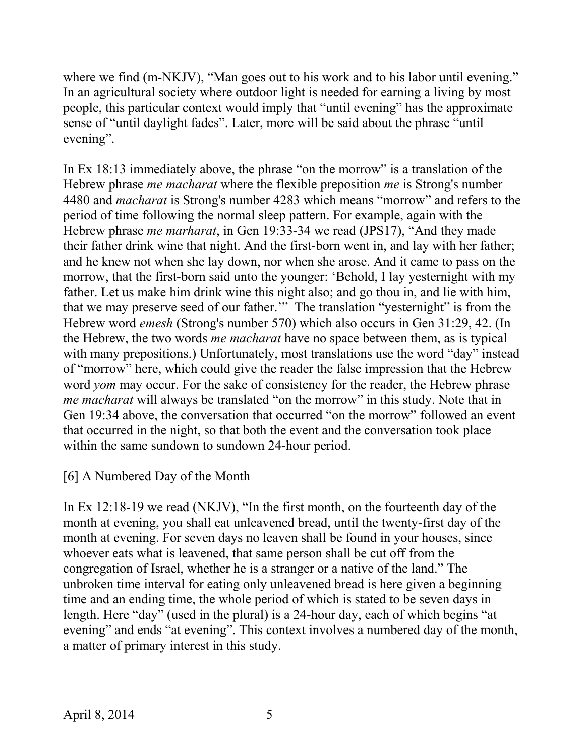where we find (m-NKJV), "Man goes out to his work and to his labor until evening." In an agricultural society where outdoor light is needed for earning a living by most people, this particular context would imply that "until evening" has the approximate sense of "until daylight fades". Later, more will be said about the phrase "until evening".

In Ex 18:13 immediately above, the phrase "on the morrow" is a translation of the Hebrew phrase *me macharat* where the flexible preposition *me* is Strong's number 4480 and *macharat* is Strong's number 4283 which means "morrow" and refers to the period of time following the normal sleep pattern. For example, again with the Hebrew phrase *me marharat*, in Gen 19:33-34 we read (JPS17), "And they made their father drink wine that night. And the first-born went in, and lay with her father; and he knew not when she lay down, nor when she arose. And it came to pass on the morrow, that the first-born said unto the younger: 'Behold, I lay yesternight with my father. Let us make him drink wine this night also; and go thou in, and lie with him, that we may preserve seed of our father.'" The translation "yesternight" is from the Hebrew word *emesh* (Strong's number 570) which also occurs in Gen 31:29, 42. (In the Hebrew, the two words *me macharat* have no space between them, as is typical with many prepositions.) Unfortunately, most translations use the word "day" instead of "morrow" here, which could give the reader the false impression that the Hebrew word *yom* may occur. For the sake of consistency for the reader, the Hebrew phrase *me macharat* will always be translated "on the morrow" in this study. Note that in Gen 19:34 above, the conversation that occurred "on the morrow" followed an event that occurred in the night, so that both the event and the conversation took place within the same sundown to sundown 24-hour period.

# [6] A Numbered Day of the Month

In Ex 12:18-19 we read (NKJV), "In the first month, on the fourteenth day of the month at evening, you shall eat unleavened bread, until the twenty-first day of the month at evening. For seven days no leaven shall be found in your houses, since whoever eats what is leavened, that same person shall be cut off from the congregation of Israel, whether he is a stranger or a native of the land." The unbroken time interval for eating only unleavened bread is here given a beginning time and an ending time, the whole period of which is stated to be seven days in length. Here "day" (used in the plural) is a 24-hour day, each of which begins "at evening" and ends "at evening". This context involves a numbered day of the month, a matter of primary interest in this study.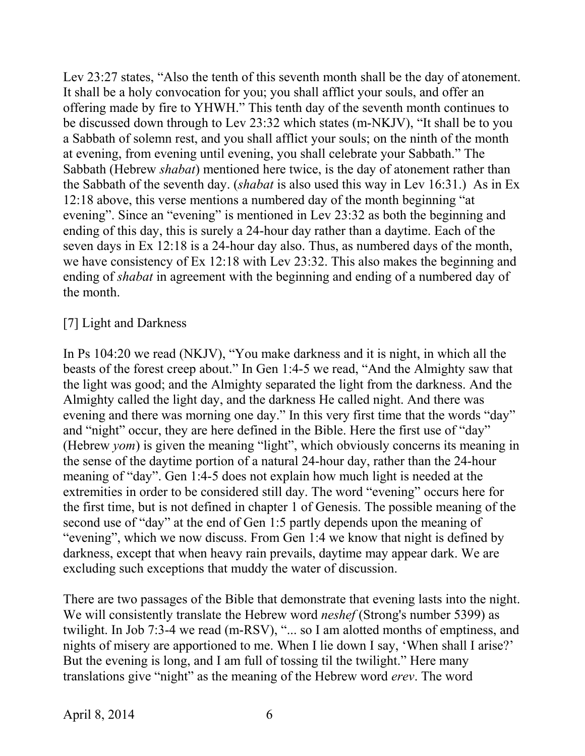Lev 23:27 states, "Also the tenth of this seventh month shall be the day of atonement. It shall be a holy convocation for you; you shall afflict your souls, and offer an offering made by fire to YHWH." This tenth day of the seventh month continues to be discussed down through to Lev 23:32 which states (m-NKJV), "It shall be to you a Sabbath of solemn rest, and you shall afflict your souls; on the ninth of the month at evening, from evening until evening, you shall celebrate your Sabbath." The Sabbath (Hebrew *shabat*) mentioned here twice, is the day of atonement rather than the Sabbath of the seventh day. (*shabat* is also used this way in Lev 16:31.) As in Ex 12:18 above, this verse mentions a numbered day of the month beginning "at evening". Since an "evening" is mentioned in Lev 23:32 as both the beginning and ending of this day, this is surely a 24-hour day rather than a daytime. Each of the seven days in Ex 12:18 is a 24-hour day also. Thus, as numbered days of the month, we have consistency of Ex 12:18 with Lev 23:32. This also makes the beginning and ending of *shabat* in agreement with the beginning and ending of a numbered day of the month.

### [7] Light and Darkness

In Ps 104:20 we read (NKJV), "You make darkness and it is night, in which all the beasts of the forest creep about." In Gen 1:4-5 we read, "And the Almighty saw that the light was good; and the Almighty separated the light from the darkness. And the Almighty called the light day, and the darkness He called night. And there was evening and there was morning one day." In this very first time that the words "day" and "night" occur, they are here defined in the Bible. Here the first use of "day" (Hebrew *yom*) is given the meaning "light", which obviously concerns its meaning in the sense of the daytime portion of a natural 24-hour day, rather than the 24-hour meaning of "day". Gen 1:4-5 does not explain how much light is needed at the extremities in order to be considered still day. The word "evening" occurs here for the first time, but is not defined in chapter 1 of Genesis. The possible meaning of the second use of "day" at the end of Gen 1:5 partly depends upon the meaning of "evening", which we now discuss. From Gen 1:4 we know that night is defined by darkness, except that when heavy rain prevails, daytime may appear dark. We are excluding such exceptions that muddy the water of discussion.

There are two passages of the Bible that demonstrate that evening lasts into the night. We will consistently translate the Hebrew word *neshef* (Strong's number 5399) as twilight. In Job 7:3-4 we read (m-RSV), "... so I am alotted months of emptiness, and nights of misery are apportioned to me. When I lie down I say, 'When shall I arise?' But the evening is long, and I am full of tossing til the twilight." Here many translations give "night" as the meaning of the Hebrew word *erev*. The word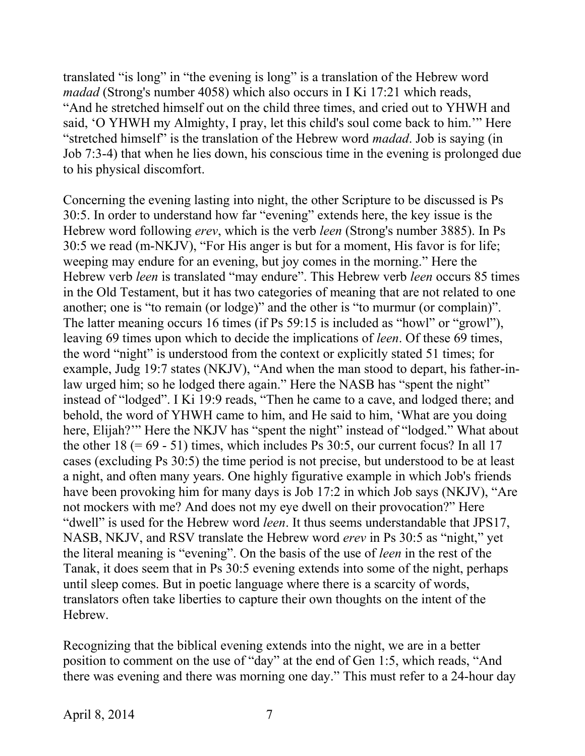translated "is long" in "the evening is long" is a translation of the Hebrew word *madad* (Strong's number 4058) which also occurs in I Ki 17:21 which reads, "And he stretched himself out on the child three times, and cried out to YHWH and said, 'O YHWH my Almighty, I pray, let this child's soul come back to him.'" Here "stretched himself" is the translation of the Hebrew word *madad*. Job is saying (in Job 7:3-4) that when he lies down, his conscious time in the evening is prolonged due to his physical discomfort.

Concerning the evening lasting into night, the other Scripture to be discussed is Ps 30:5. In order to understand how far "evening" extends here, the key issue is the Hebrew word following *erev*, which is the verb *leen* (Strong's number 3885). In Ps 30:5 we read (m-NKJV), "For His anger is but for a moment, His favor is for life; weeping may endure for an evening, but joy comes in the morning." Here the Hebrew verb *leen* is translated "may endure". This Hebrew verb *leen* occurs 85 times in the Old Testament, but it has two categories of meaning that are not related to one another; one is "to remain (or lodge)" and the other is "to murmur (or complain)". The latter meaning occurs 16 times (if Ps 59:15 is included as "howl" or "growl"), leaving 69 times upon which to decide the implications of *leen*. Of these 69 times, the word "night" is understood from the context or explicitly stated 51 times; for example, Judg 19:7 states (NKJV), "And when the man stood to depart, his father-inlaw urged him; so he lodged there again." Here the NASB has "spent the night" instead of "lodged". I Ki 19:9 reads, "Then he came to a cave, and lodged there; and behold, the word of YHWH came to him, and He said to him, 'What are you doing here, Elijah?"" Here the NKJV has "spent the night" instead of "lodged." What about the other  $18 (= 69 - 51)$  times, which includes Ps 30:5, our current focus? In all 17 cases (excluding Ps 30:5) the time period is not precise, but understood to be at least a night, and often many years. One highly figurative example in which Job's friends have been provoking him for many days is Job 17:2 in which Job says (NKJV), "Are not mockers with me? And does not my eye dwell on their provocation?" Here "dwell" is used for the Hebrew word *leen*. It thus seems understandable that JPS17, NASB, NKJV, and RSV translate the Hebrew word *erev* in Ps 30:5 as "night," yet the literal meaning is "evening". On the basis of the use of *leen* in the rest of the Tanak, it does seem that in Ps 30:5 evening extends into some of the night, perhaps until sleep comes. But in poetic language where there is a scarcity of words, translators often take liberties to capture their own thoughts on the intent of the Hebrew.

Recognizing that the biblical evening extends into the night, we are in a better position to comment on the use of "day" at the end of Gen 1:5, which reads, "And there was evening and there was morning one day." This must refer to a 24-hour day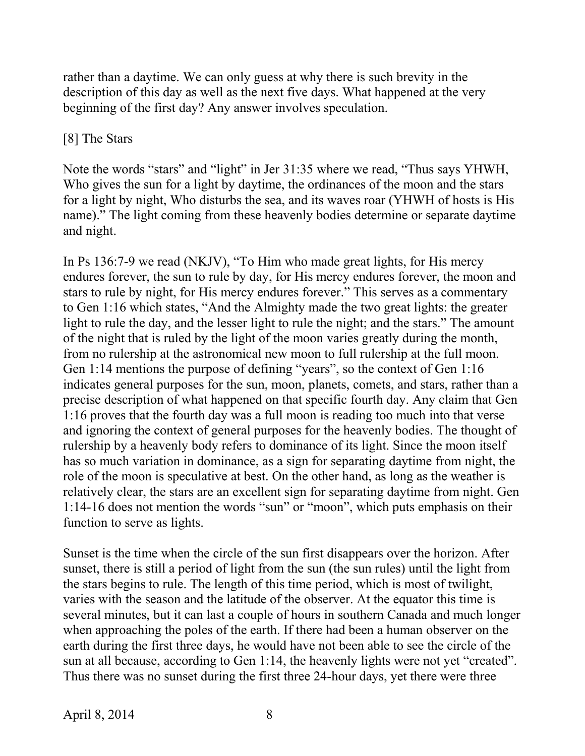rather than a daytime. We can only guess at why there is such brevity in the description of this day as well as the next five days. What happened at the very beginning of the first day? Any answer involves speculation.

### [8] The Stars

Note the words "stars" and "light" in Jer 31:35 where we read, "Thus says YHWH, Who gives the sun for a light by daytime, the ordinances of the moon and the stars for a light by night, Who disturbs the sea, and its waves roar (YHWH of hosts is His name)." The light coming from these heavenly bodies determine or separate daytime and night.

In Ps 136:7-9 we read (NKJV), "To Him who made great lights, for His mercy endures forever, the sun to rule by day, for His mercy endures forever, the moon and stars to rule by night, for His mercy endures forever." This serves as a commentary to Gen 1:16 which states, "And the Almighty made the two great lights: the greater light to rule the day, and the lesser light to rule the night; and the stars." The amount of the night that is ruled by the light of the moon varies greatly during the month, from no rulership at the astronomical new moon to full rulership at the full moon. Gen 1:14 mentions the purpose of defining "years", so the context of Gen 1:16 indicates general purposes for the sun, moon, planets, comets, and stars, rather than a precise description of what happened on that specific fourth day. Any claim that Gen 1:16 proves that the fourth day was a full moon is reading too much into that verse and ignoring the context of general purposes for the heavenly bodies. The thought of rulership by a heavenly body refers to dominance of its light. Since the moon itself has so much variation in dominance, as a sign for separating daytime from night, the role of the moon is speculative at best. On the other hand, as long as the weather is relatively clear, the stars are an excellent sign for separating daytime from night. Gen 1:14-16 does not mention the words "sun" or "moon", which puts emphasis on their function to serve as lights.

Sunset is the time when the circle of the sun first disappears over the horizon. After sunset, there is still a period of light from the sun (the sun rules) until the light from the stars begins to rule. The length of this time period, which is most of twilight, varies with the season and the latitude of the observer. At the equator this time is several minutes, but it can last a couple of hours in southern Canada and much longer when approaching the poles of the earth. If there had been a human observer on the earth during the first three days, he would have not been able to see the circle of the sun at all because, according to Gen 1:14, the heavenly lights were not yet "created". Thus there was no sunset during the first three 24-hour days, yet there were three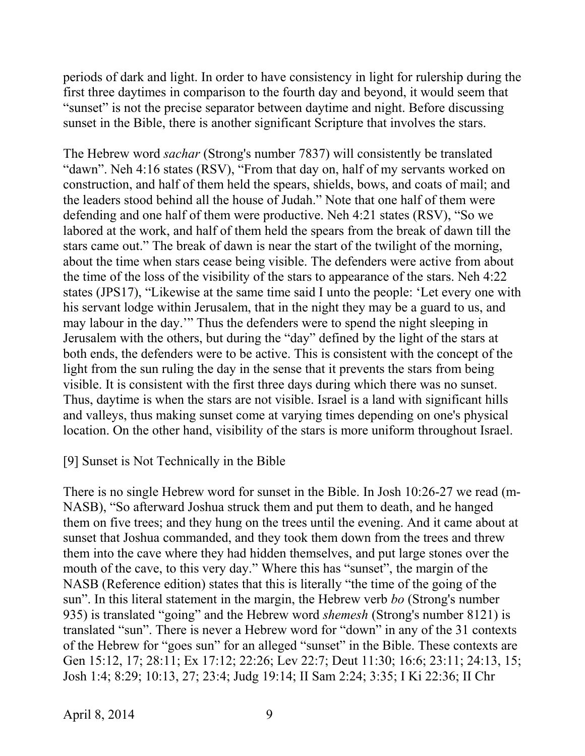periods of dark and light. In order to have consistency in light for rulership during the first three daytimes in comparison to the fourth day and beyond, it would seem that "sunset" is not the precise separator between daytime and night. Before discussing sunset in the Bible, there is another significant Scripture that involves the stars.

The Hebrew word *sachar* (Strong's number 7837) will consistently be translated "dawn". Neh 4:16 states (RSV), "From that day on, half of my servants worked on construction, and half of them held the spears, shields, bows, and coats of mail; and the leaders stood behind all the house of Judah." Note that one half of them were defending and one half of them were productive. Neh 4:21 states (RSV), "So we labored at the work, and half of them held the spears from the break of dawn till the stars came out." The break of dawn is near the start of the twilight of the morning, about the time when stars cease being visible. The defenders were active from about the time of the loss of the visibility of the stars to appearance of the stars. Neh 4:22 states (JPS17), "Likewise at the same time said I unto the people: 'Let every one with his servant lodge within Jerusalem, that in the night they may be a guard to us, and may labour in the day.'" Thus the defenders were to spend the night sleeping in Jerusalem with the others, but during the "day" defined by the light of the stars at both ends, the defenders were to be active. This is consistent with the concept of the light from the sun ruling the day in the sense that it prevents the stars from being visible. It is consistent with the first three days during which there was no sunset. Thus, daytime is when the stars are not visible. Israel is a land with significant hills and valleys, thus making sunset come at varying times depending on one's physical location. On the other hand, visibility of the stars is more uniform throughout Israel.

#### [9] Sunset is Not Technically in the Bible

There is no single Hebrew word for sunset in the Bible. In Josh 10:26-27 we read (m-NASB), "So afterward Joshua struck them and put them to death, and he hanged them on five trees; and they hung on the trees until the evening. And it came about at sunset that Joshua commanded, and they took them down from the trees and threw them into the cave where they had hidden themselves, and put large stones over the mouth of the cave, to this very day." Where this has "sunset", the margin of the NASB (Reference edition) states that this is literally "the time of the going of the sun". In this literal statement in the margin, the Hebrew verb *bo* (Strong's number 935) is translated "going" and the Hebrew word *shemesh* (Strong's number 8121) is translated "sun". There is never a Hebrew word for "down" in any of the 31 contexts of the Hebrew for "goes sun" for an alleged "sunset" in the Bible. These contexts are Gen 15:12, 17; 28:11; Ex 17:12; 22:26; Lev 22:7; Deut 11:30; 16:6; 23:11; 24:13, 15; Josh 1:4; 8:29; 10:13, 27; 23:4; Judg 19:14; II Sam 2:24; 3:35; I Ki 22:36; II Chr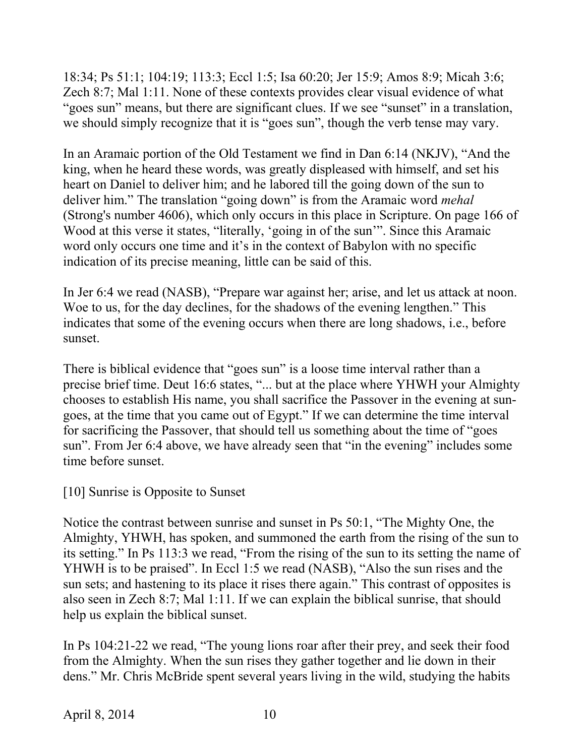18:34; Ps 51:1; 104:19; 113:3; Eccl 1:5; Isa 60:20; Jer 15:9; Amos 8:9; Micah 3:6; Zech 8:7; Mal 1:11. None of these contexts provides clear visual evidence of what "goes sun" means, but there are significant clues. If we see "sunset" in a translation, we should simply recognize that it is "goes sun", though the verb tense may vary.

In an Aramaic portion of the Old Testament we find in Dan 6:14 (NKJV), "And the king, when he heard these words, was greatly displeased with himself, and set his heart on Daniel to deliver him; and he labored till the going down of the sun to deliver him." The translation "going down" is from the Aramaic word *mehal* (Strong's number 4606), which only occurs in this place in Scripture. On page 166 of Wood at this verse it states, "literally, 'going in of the sun'". Since this Aramaic word only occurs one time and it's in the context of Babylon with no specific indication of its precise meaning, little can be said of this.

In Jer 6:4 we read (NASB), "Prepare war against her; arise, and let us attack at noon. Woe to us, for the day declines, for the shadows of the evening lengthen." This indicates that some of the evening occurs when there are long shadows, i.e., before sunset.

There is biblical evidence that "goes sun" is a loose time interval rather than a precise brief time. Deut 16:6 states, "... but at the place where YHWH your Almighty chooses to establish His name, you shall sacrifice the Passover in the evening at sungoes, at the time that you came out of Egypt." If we can determine the time interval for sacrificing the Passover, that should tell us something about the time of "goes sun". From Jer 6:4 above, we have already seen that "in the evening" includes some time before sunset.

[10] Sunrise is Opposite to Sunset

Notice the contrast between sunrise and sunset in Ps 50:1, "The Mighty One, the Almighty, YHWH, has spoken, and summoned the earth from the rising of the sun to its setting." In Ps 113:3 we read, "From the rising of the sun to its setting the name of YHWH is to be praised". In Eccl 1:5 we read (NASB), "Also the sun rises and the sun sets; and hastening to its place it rises there again." This contrast of opposites is also seen in Zech 8:7; Mal 1:11. If we can explain the biblical sunrise, that should help us explain the biblical sunset.

In Ps 104:21-22 we read, "The young lions roar after their prey, and seek their food from the Almighty. When the sun rises they gather together and lie down in their dens." Mr. Chris McBride spent several years living in the wild, studying the habits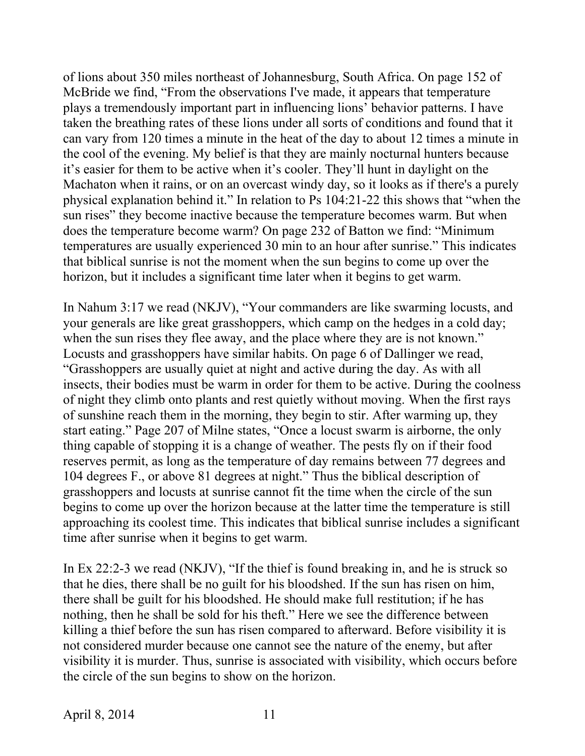of lions about 350 miles northeast of Johannesburg, South Africa. On page 152 of McBride we find, "From the observations I've made, it appears that temperature plays a tremendously important part in influencing lions' behavior patterns. I have taken the breathing rates of these lions under all sorts of conditions and found that it can vary from 120 times a minute in the heat of the day to about 12 times a minute in the cool of the evening. My belief is that they are mainly nocturnal hunters because it's easier for them to be active when it's cooler. They'll hunt in daylight on the Machaton when it rains, or on an overcast windy day, so it looks as if there's a purely physical explanation behind it." In relation to Ps 104:21-22 this shows that "when the sun rises" they become inactive because the temperature becomes warm. But when does the temperature become warm? On page 232 of Batton we find: "Minimum temperatures are usually experienced 30 min to an hour after sunrise." This indicates that biblical sunrise is not the moment when the sun begins to come up over the horizon, but it includes a significant time later when it begins to get warm.

In Nahum 3:17 we read (NKJV), "Your commanders are like swarming locusts, and your generals are like great grasshoppers, which camp on the hedges in a cold day; when the sun rises they flee away, and the place where they are is not known." Locusts and grasshoppers have similar habits. On page 6 of Dallinger we read, "Grasshoppers are usually quiet at night and active during the day. As with all insects, their bodies must be warm in order for them to be active. During the coolness of night they climb onto plants and rest quietly without moving. When the first rays of sunshine reach them in the morning, they begin to stir. After warming up, they start eating." Page 207 of Milne states, "Once a locust swarm is airborne, the only thing capable of stopping it is a change of weather. The pests fly on if their food reserves permit, as long as the temperature of day remains between 77 degrees and 104 degrees F., or above 81 degrees at night." Thus the biblical description of grasshoppers and locusts at sunrise cannot fit the time when the circle of the sun begins to come up over the horizon because at the latter time the temperature is still approaching its coolest time. This indicates that biblical sunrise includes a significant time after sunrise when it begins to get warm.

In Ex 22:2-3 we read (NKJV), "If the thief is found breaking in, and he is struck so that he dies, there shall be no guilt for his bloodshed. If the sun has risen on him, there shall be guilt for his bloodshed. He should make full restitution; if he has nothing, then he shall be sold for his theft." Here we see the difference between killing a thief before the sun has risen compared to afterward. Before visibility it is not considered murder because one cannot see the nature of the enemy, but after visibility it is murder. Thus, sunrise is associated with visibility, which occurs before the circle of the sun begins to show on the horizon.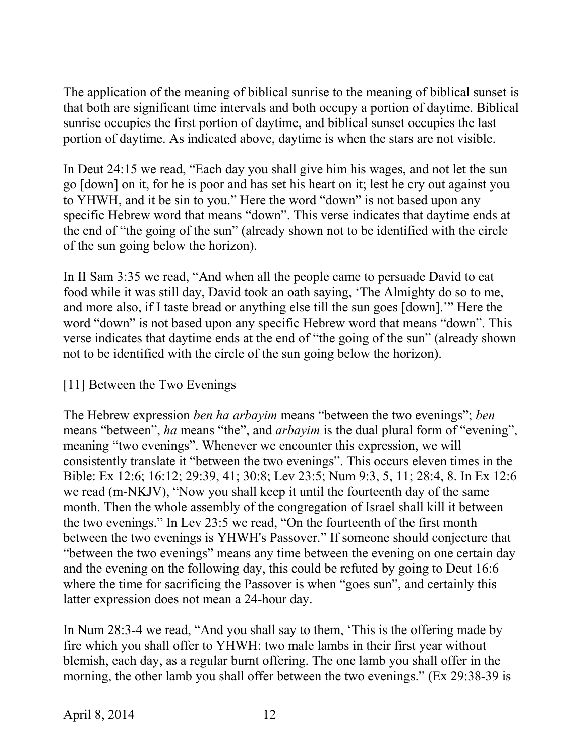The application of the meaning of biblical sunrise to the meaning of biblical sunset is that both are significant time intervals and both occupy a portion of daytime. Biblical sunrise occupies the first portion of daytime, and biblical sunset occupies the last portion of daytime. As indicated above, daytime is when the stars are not visible.

In Deut 24:15 we read, "Each day you shall give him his wages, and not let the sun go [down] on it, for he is poor and has set his heart on it; lest he cry out against you to YHWH, and it be sin to you." Here the word "down" is not based upon any specific Hebrew word that means "down". This verse indicates that daytime ends at the end of "the going of the sun" (already shown not to be identified with the circle of the sun going below the horizon).

In II Sam 3:35 we read, "And when all the people came to persuade David to eat food while it was still day, David took an oath saying, 'The Almighty do so to me, and more also, if I taste bread or anything else till the sun goes [down].'" Here the word "down" is not based upon any specific Hebrew word that means "down". This verse indicates that daytime ends at the end of "the going of the sun" (already shown not to be identified with the circle of the sun going below the horizon).

## [11] Between the Two Evenings

The Hebrew expression *ben ha arbayim* means "between the two evenings"; *ben* means "between", *ha* means "the", and *arbayim* is the dual plural form of "evening", meaning "two evenings". Whenever we encounter this expression, we will consistently translate it "between the two evenings". This occurs eleven times in the Bible: Ex 12:6; 16:12; 29:39, 41; 30:8; Lev 23:5; Num 9:3, 5, 11; 28:4, 8. In Ex 12:6 we read (m-NKJV), "Now you shall keep it until the fourteenth day of the same month. Then the whole assembly of the congregation of Israel shall kill it between the two evenings." In Lev 23:5 we read, "On the fourteenth of the first month between the two evenings is YHWH's Passover." If someone should conjecture that "between the two evenings" means any time between the evening on one certain day and the evening on the following day, this could be refuted by going to Deut 16:6 where the time for sacrificing the Passover is when "goes sun", and certainly this latter expression does not mean a 24-hour day.

In Num 28:3-4 we read, "And you shall say to them, 'This is the offering made by fire which you shall offer to YHWH: two male lambs in their first year without blemish, each day, as a regular burnt offering. The one lamb you shall offer in the morning, the other lamb you shall offer between the two evenings." (Ex 29:38-39 is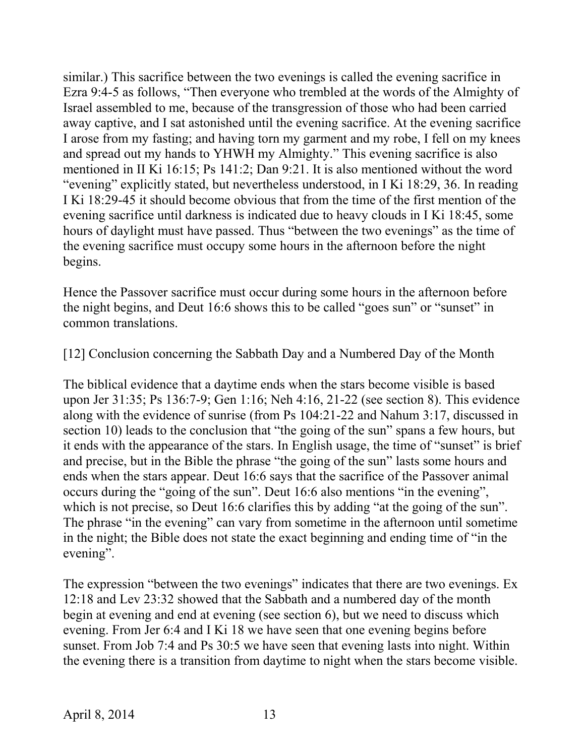similar.) This sacrifice between the two evenings is called the evening sacrifice in Ezra 9:4-5 as follows, "Then everyone who trembled at the words of the Almighty of Israel assembled to me, because of the transgression of those who had been carried away captive, and I sat astonished until the evening sacrifice. At the evening sacrifice I arose from my fasting; and having torn my garment and my robe, I fell on my knees and spread out my hands to YHWH my Almighty." This evening sacrifice is also mentioned in II Ki 16:15; Ps 141:2; Dan 9:21. It is also mentioned without the word "evening" explicitly stated, but nevertheless understood, in I Ki 18:29, 36. In reading I Ki 18:29-45 it should become obvious that from the time of the first mention of the evening sacrifice until darkness is indicated due to heavy clouds in I Ki 18:45, some hours of daylight must have passed. Thus "between the two evenings" as the time of the evening sacrifice must occupy some hours in the afternoon before the night begins.

Hence the Passover sacrifice must occur during some hours in the afternoon before the night begins, and Deut 16:6 shows this to be called "goes sun" or "sunset" in common translations.

[12] Conclusion concerning the Sabbath Day and a Numbered Day of the Month

The biblical evidence that a daytime ends when the stars become visible is based upon Jer 31:35; Ps 136:7-9; Gen 1:16; Neh 4:16, 21-22 (see section 8). This evidence along with the evidence of sunrise (from Ps 104:21-22 and Nahum 3:17, discussed in section 10) leads to the conclusion that "the going of the sun" spans a few hours, but it ends with the appearance of the stars. In English usage, the time of "sunset" is brief and precise, but in the Bible the phrase "the going of the sun" lasts some hours and ends when the stars appear. Deut 16:6 says that the sacrifice of the Passover animal occurs during the "going of the sun". Deut 16:6 also mentions "in the evening", which is not precise, so Deut 16:6 clarifies this by adding "at the going of the sun". The phrase "in the evening" can vary from sometime in the afternoon until sometime in the night; the Bible does not state the exact beginning and ending time of "in the evening".

The expression "between the two evenings" indicates that there are two evenings. Ex 12:18 and Lev 23:32 showed that the Sabbath and a numbered day of the month begin at evening and end at evening (see section 6), but we need to discuss which evening. From Jer 6:4 and I Ki 18 we have seen that one evening begins before sunset. From Job 7:4 and Ps 30:5 we have seen that evening lasts into night. Within the evening there is a transition from daytime to night when the stars become visible.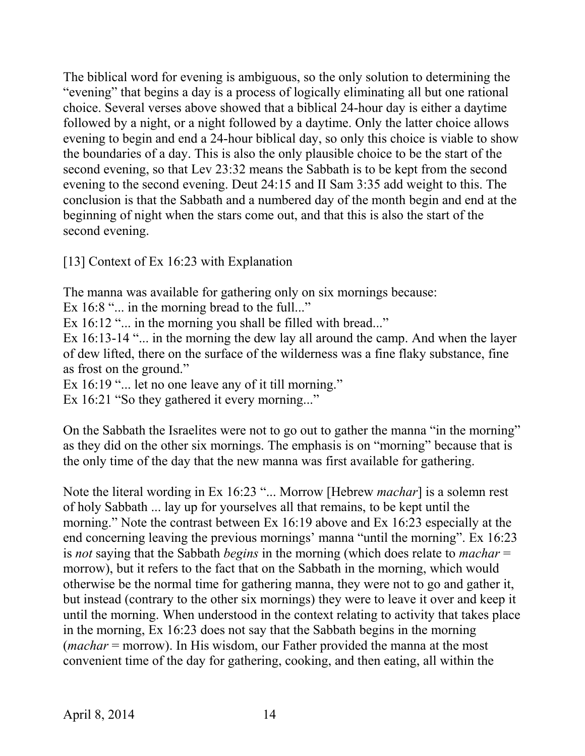The biblical word for evening is ambiguous, so the only solution to determining the "evening" that begins a day is a process of logically eliminating all but one rational choice. Several verses above showed that a biblical 24-hour day is either a daytime followed by a night, or a night followed by a daytime. Only the latter choice allows evening to begin and end a 24-hour biblical day, so only this choice is viable to show the boundaries of a day. This is also the only plausible choice to be the start of the second evening, so that Lev 23:32 means the Sabbath is to be kept from the second evening to the second evening. Deut 24:15 and II Sam 3:35 add weight to this. The conclusion is that the Sabbath and a numbered day of the month begin and end at the beginning of night when the stars come out, and that this is also the start of the second evening.

[13] Context of Ex 16:23 with Explanation

The manna was available for gathering only on six mornings because:

Ex 16:8 "... in the morning bread to the full..."

Ex 16:12 "... in the morning you shall be filled with bread..."

Ex 16:13-14 "... in the morning the dew lay all around the camp. And when the layer of dew lifted, there on the surface of the wilderness was a fine flaky substance, fine as frost on the ground."

Ex 16:19 "... let no one leave any of it till morning."

Ex 16:21 "So they gathered it every morning..."

On the Sabbath the Israelites were not to go out to gather the manna "in the morning" as they did on the other six mornings. The emphasis is on "morning" because that is the only time of the day that the new manna was first available for gathering.

Note the literal wording in Ex 16:23 "... Morrow [Hebrew *machar*] is a solemn rest of holy Sabbath ... lay up for yourselves all that remains, to be kept until the morning." Note the contrast between Ex 16:19 above and Ex 16:23 especially at the end concerning leaving the previous mornings' manna "until the morning". Ex 16:23 is *not* saying that the Sabbath *begins* in the morning (which does relate to *machar* = morrow), but it refers to the fact that on the Sabbath in the morning, which would otherwise be the normal time for gathering manna, they were not to go and gather it, but instead (contrary to the other six mornings) they were to leave it over and keep it until the morning. When understood in the context relating to activity that takes place in the morning, Ex 16:23 does not say that the Sabbath begins in the morning (*machar* = morrow). In His wisdom, our Father provided the manna at the most convenient time of the day for gathering, cooking, and then eating, all within the